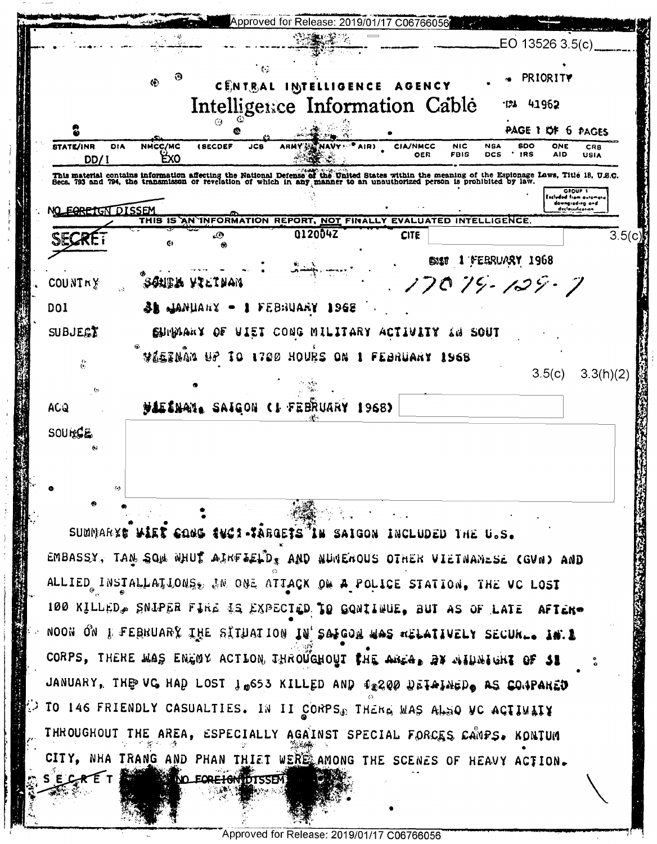|                                       | 0<br>$\Phi$           |                            | 经                                                                                                                                                                                                                                 |                        |                           |                                                   | PRIORITY          |                                                               |
|---------------------------------------|-----------------------|----------------------------|-----------------------------------------------------------------------------------------------------------------------------------------------------------------------------------------------------------------------------------|------------------------|---------------------------|---------------------------------------------------|-------------------|---------------------------------------------------------------|
|                                       |                       |                            | CENTRAL INTELLIGENCE<br>Intelligence Information Cable                                                                                                                                                                            | <b>AGENCY</b>          |                           | ומי                                               | 41962             |                                                               |
| 2                                     |                       | ⊙                          |                                                                                                                                                                                                                                   |                        |                           | PAGE 1 OF 6 PAGES                                 |                   |                                                               |
| <b>STATE/INR</b><br>DIA<br>DD/1       | NMCC/MC<br><b>Exo</b> | œ<br><b>(SECDEF</b><br>JC8 | NAVY <sup>A</sup> AIR)                                                                                                                                                                                                            | <b>CIA/NMCC</b><br>OER | <b>NIC</b><br><b>FBIS</b> | <b>SDO</b><br><b>NSA</b><br>$'$ IRS<br><b>DCS</b> | ONE<br><b>AID</b> | CRS<br><b>USIA</b>                                            |
|                                       |                       |                            | This material contains information affecting the National Defense of the United States within the meaning of the Espionage Laws, Title 18, U.S.C.<br>Secs. 793 and 794, the transmisson or revelation of which in any manner to a |                        |                           |                                                   |                   | GROUP 1                                                       |
| EORETGN DISSEM                        |                       |                            |                                                                                                                                                                                                                                   |                        |                           |                                                   |                   | Eacluded from automory<br>downgieding and<br>declassification |
| SIECKE                                | G)                    | D<br>۵                     | THIS IS AN INFORMATION REPORT, NOT FINALLY EVALUATED INTELLIGENCE.<br>012004Z                                                                                                                                                     | <b>CITE</b>            |                           |                                                   |                   | 3.5(c)                                                        |
| COUNTRY                               |                       | reater asciduu             |                                                                                                                                                                                                                                   | onsu                   |                           | 1 FEBRUARY 1968<br>17079-129-7                    |                   |                                                               |
|                                       |                       |                            |                                                                                                                                                                                                                                   |                        |                           |                                                   |                   |                                                               |
|                                       | <b>TE TURNTURES</b>   |                            | feb:Iuary<br>196E                                                                                                                                                                                                                 |                        |                           |                                                   |                   |                                                               |
|                                       | <b>Children x OE</b>  |                            | ATE1 COMG WIFT198A VC11ATIA                                                                                                                                                                                                       |                        | and SOUT                  |                                                   |                   |                                                               |
|                                       |                       |                            | aqeerua as io 1150 hones on i                                                                                                                                                                                                     | FEBRUARY               | 1968                      |                                                   |                   |                                                               |
| $\ddot{\rm e}$<br>$\ddot{\mathbf{c}}$ |                       |                            |                                                                                                                                                                                                                                   |                        |                           |                                                   | 3.5(c)            | 3.3(h)(2)                                                     |
|                                       |                       |                            | MALINAN. SAIGON (1 FEBRUARY 1968)                                                                                                                                                                                                 |                        |                           |                                                   |                   |                                                               |
| DOI<br>SUBJE<br>ACQ<br>SOURCE<br>0    |                       |                            |                                                                                                                                                                                                                                   |                        |                           |                                                   |                   |                                                               |
|                                       |                       |                            |                                                                                                                                                                                                                                   |                        |                           |                                                   |                   |                                                               |

ALLIED INSTALLATIONS, IN ONE ATTACK ON A POLICE STATION, THE VC LOST 100 KILLED, SNIPER FIRE IS EXPECTED TO GONITHUE, BUT AS OF LATE AF I cko  $\sim$  noon on  $\mathfrak k$  lebroar) the etimation in 200 ta alcon as altainery secure. In 1 CORPS, THERE MAS ENGOY ACTLON THROUGHOUT THE AREA. BY AIDNIGHT OF 31 JANUARY, THE VC HAD LOST 1 0653 KILLED AND 12200 DETAINED AS CONPARED ) TO 146 FRIENDLY CASUALTIES. IN II CORPS THERE WAS ALSO VC ACTIVITY THROUGHOUT THE AREA, ESPECIALLY AGAINST SPECIAL FORCES CANPS. KONTUM CITY, NHA TRANG AND PHAN THIET WERE AMONG THE SCENES OF HEAVY ACTION. **NO FORE IGNIDISSEM** SECRET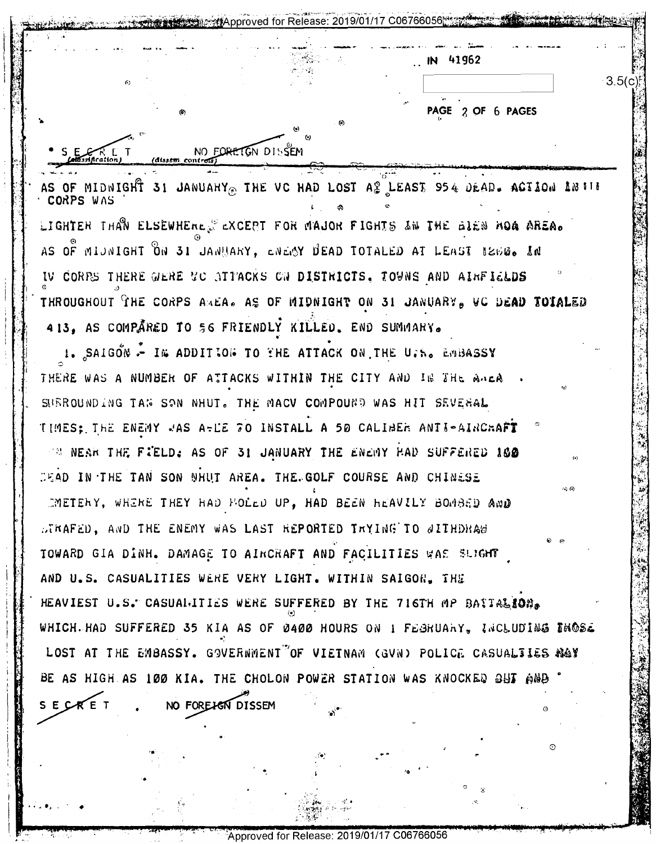41962  $-3.5(c)$ PAGE 2 OF 6 PAGES NO FORETGN DISSEM  $R_{\text{Incaton}}$ (dissem controls AS OF MIDNIGHT 31 JANUAHY THE VC HAD LOST AS LEAST 954 DEAD. ACTION ANTIF LIGHTER THAN ELSEWHERE. EXCEPT FOR MAJOR FIGHTS AN THE GIEN HOA AREA. AS OF MIJNIGHT ON 31 JANUARY, ENEMY DEAD TOTALED AT LEAST BEDG. IN IV CORPS THERE GERE UC ATTACKS ON DISTRICTS, TOWNS AND AIRFIELDS THROUGHOUT THE CORPS AMEA. AS OF MIDNIGHT ON 31 JANUARY, VC DEAD TOIALED 413. AS COMPARED TO 56 FRIENDLY KILLED. END SUMMARY. 1. SAIGON - IN ADDITION TO THE ATTACK ON THE U.S. EMBASSY THERE WAS A NUMBER OF ATTACKS WITHIN THE CITY AND IN THE ANEA SUBROUNDING TAN SON NHUT. THE MACV COMPOUND WAS HIT SEVERAL TIMES: THE ENEMY JAS A-LE 70 INSTALL A 50 CALIBER ANTI-AIRCHAFT TH NEAR THE FIELD: AS OF 31 JANUARY THE ENEMY HAD SUFFERED 100 DEAD IN THE TAN SON NHUT AREA. THE GOLF COURSE AND CHINESE IMETERY, WHERE THEY HAD HOLED UP, HAD BEEN HEAVILY BOMBED AND DIRAFED. AND THE ENEMY WAS LAST REPORTED TRYING TO SITHDHAS TOWARD GIA DINH. DAMAGE TO AIRCRAFT AND FACILITIES WAS SUIGHT AND U.S. CASUALITIES WERE VERY LIGHT. WITHIN SAIGON. THE HEAVIEST U.S. CASUALITIES WERE SUFFERED BY THE 716TH MP BAITALION. WHICH HAD SUFFERED 35 KIA AS OF 0400 HOURS ON 1 FEBRUARY, INCLUDING THOSE LOST AT THE EMBASSY. GOVERNMENT OF VIETNAM (GVN) POLICE CASUALTIES NOY BE AS HIGH AS 100 KIA. THE CHOLON POWER STATION WAS KNOCKED OUT AND SECRET NO FOREJEN DISSEM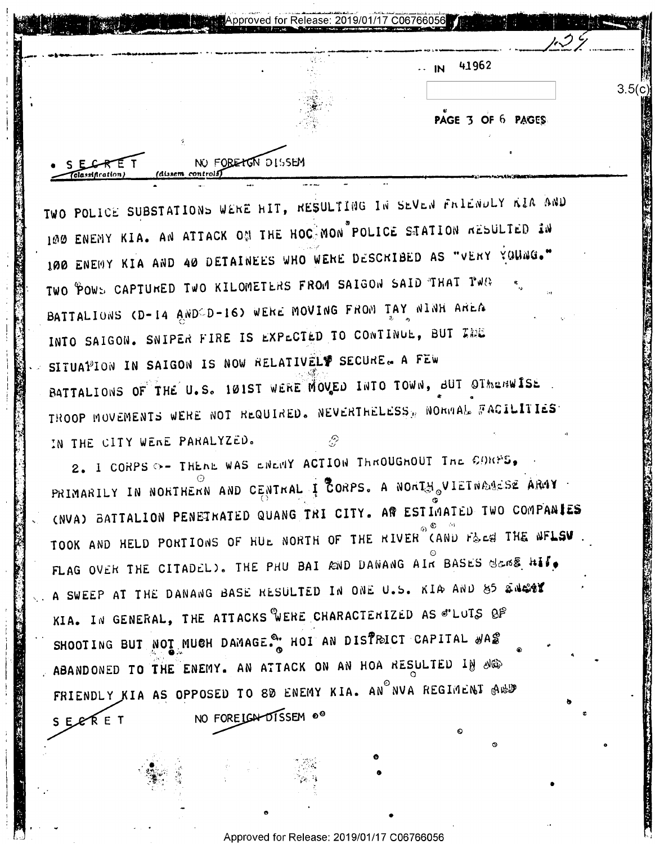| <b>Security</b> | <b>1999</b><br>se: 2019/01/17 C06766056 1 19 20 20 20<br><b>March</b> |     |
|-----------------|-----------------------------------------------------------------------|-----|
|                 | 41962<br>$\cdot$ IN                                                   |     |
|                 |                                                                       | 3.5 |
|                 | PAGE 3 OF 6 PAGES                                                     |     |

TWO POLICE SUBSTATIONS WERE HIT, RESULTING IN SEVEN FRIENDLY KIA AND 100 ENENY KIA. AN ATTACK ON THE HOC MON POLICE STATION RESULTED IN 100 ENEMY KIA AND 40 DETAINEES WHO WERE DESCRIBED AS "VERY YOUNG." TWO POWS CAPTURED TWO KILOMETERS FROM SAIGON SAID THAT TWO BATTALIONS (D-14 ANDOD-16) WERE MOVING FROM TAY NINH AREA INTO SAIGON. SNIPER FIRE IS EXPECTED TO CONTINUE, BUT THE SITUATION IN SAIGON IS NOW RELATIVEL SECURE. A FEW BATTALIONS OF THE U.S. IØIST WERE MOVED INTO TOWN, BUT OTHERWISE TROOP MOVEMENTS WERE NOT REQUIRED. NEVERTHELESS, NORMAL FACILITIES IN THE CITY WERE PARALYZED.

NO FORE TON DISSEM

(dissem, co

2. I CORPS O- THENE WAS ENERY ACTION THROUGHOUT THE CORPS. PRIMARILY IN NORTHERN AND CENTRAL I CORPS. A NORTH VIETNAMESE ARMY (NVA) BATTALION PENETRATED QUANG TRI CITY. AR ESTIMATED TWO COMPANIES TOOK AND HELD PORTIONS OF HUE NORTH OF THE RIVER CAND F& ES THE NFLSV FLAG OVER THE CITADEL). THE PHU BAI AND DANANG AIN BASES SERS HIS. A SWEEP AT THE DANANG BASE RESULTED IN ONE U.S. KIA AND 85 SNEST KIA. IN GENERAL, THE ATTACKS WERE CHARACTERIZED AS S'LUTS OF SHOOTING BUT NOT MUCH DAMAGE. HOI AN DISTRICT CAPITAL WAS ABANDONED TO THE ENEMY. AN ATTACK ON AN HOA RESULTED IN NO FRIENDLY KIA AS OPPOSED TO 80 ENEMY KIA. AN NVA REGIMENT AND NO FOREIGH DISSEM 00 SECRET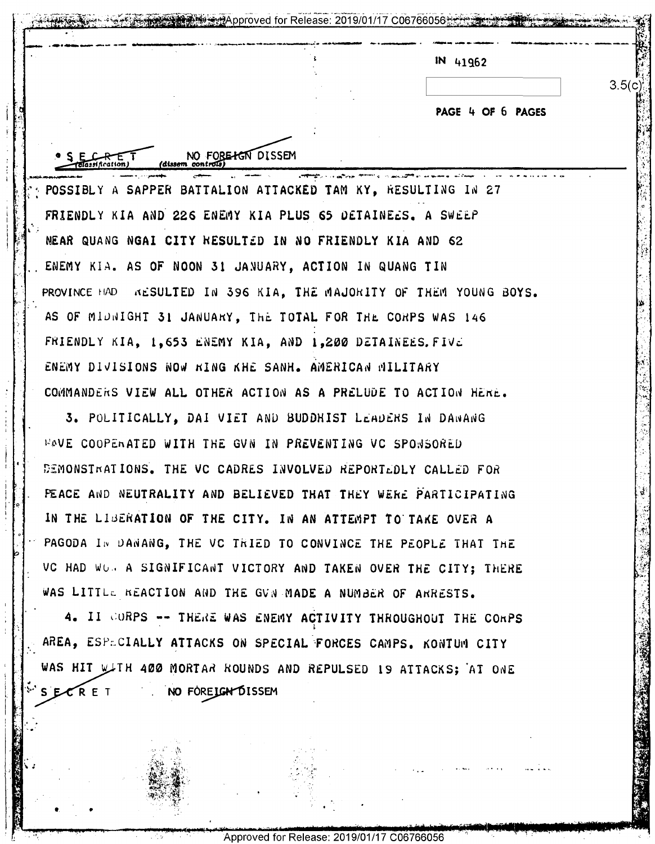|  | IN 41962 |  |
|--|----------|--|
|  |          |  |

POSSIBLY A SAPPER BATTALION ATTACKED TAM KY, RESULTING IN 27 FRIENDLY KIA AND 226 ENEMY KIA PLUS 65 DETAINEES. A SWEEP NEAR QUANG NGAI CITY RESULTED IN NO FRIENDLY KIA AND 62 ENEMY KIA. AS OF NOON 31 JANUARY, ACTION IN QUANG TIN PROVINCE HAD RESULTED IN 396 KIA. THE MAJORITY OF THEM YOUNG BOYS. AS OF MIDNIGHT 31 JANUARY, THE TOTAL FOR THE CORPS WAS 146 FRIENDLY KIA, 1,653 ENEMY KIA, AND 1,200 DETAINEES. FIVE ENEMY DIVISIONS NOW KING KHE SANH. AMERICAN MILITARY COMMANDERS VIEW ALL OTHER ACTION AS A PRELUDE TO ACTION HERE.

NO FORE HON DISSEM

3. POLITICALLY, DAI VIET AND BUDDHIST LEADERS IN DANANG **WAVE COOPERATED WITH THE GVN IN PREVENTING VC SPONSORED** DEMONSTRATIONS. THE VC CADRES INVOLVED REPORTEDLY CALLED FOR PEACE AND NEUTRALITY AND BELIEVED THAT THEY WERE PARTICIPATING IN THE LIBERATION OF THE CITY. IN AN ATTEMPT TO TAKE OVER A PAGODA IN DANANG, THE VC TRIED TO CONVINCE THE PEOPLE THAT THE VC HAD WOR A SIGNIFICANT VICTORY AND TAKEN OVER THE CITY; THERE WAS LITTLE REACTION AND THE GVN MADE A NUMBER OF ARRESTS.

4. II CORPS -- THERE WAS ENEMY ACTIVITY THROUGHOUT THE CORPS AREA, ESPECIALLY ATTACKS ON SPECIAL FORCES CAMPS. KONTUM CITY WAS HIT WITH 400 MORTAR ROUNDS AND REPULSED IS ATTACKS; AT ONE SECRET NO FOREIGN DISSEM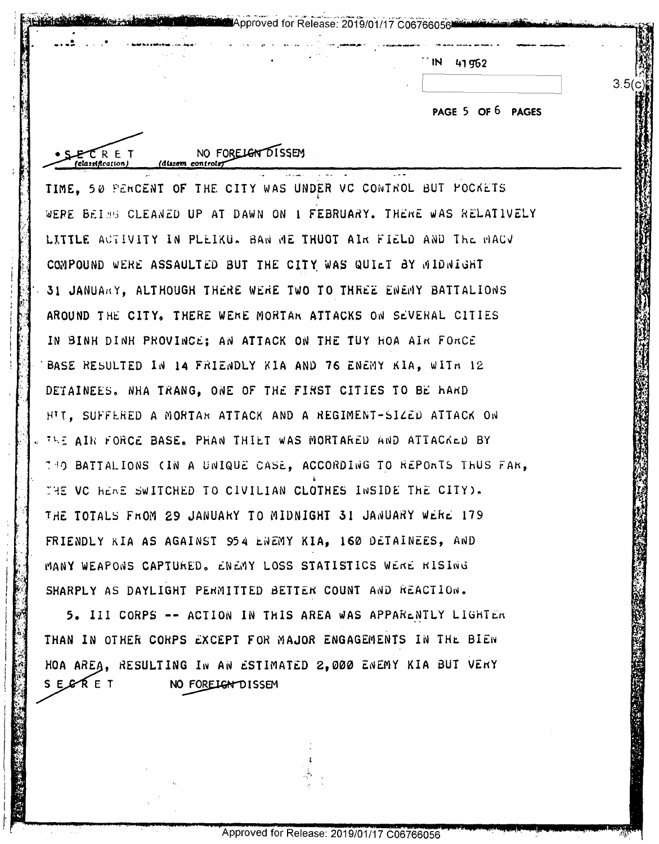| ΙN | 41962 |
|----|-------|
|    |       |

PAGE 5 OF 6 PAGES

 $3.5(c)$ 

TIME, 50 PERCENT OF THE CITY WAS UNDER VC CONTROL BUT POCKETS WERE BEING CLEANED UP AT DAWN ON I FEBRUARY. THERE WAS RELATIVELY LITTLE ACTIVITY IN PLEIKU. BAN ME THUOT AIR FIELD AND THE MACV COMPOUND WERE ASSAULTED BUT THE CITY WAS QUILT BY MIDNIGHT 31 JANUARY, ALTHOUGH THERE WERE TWO TO THREE ENEMY BATTALIONS AROUND THE CITY. THERE WERE MORTAR ATTACKS ON SEVERAL CITIES IN BINH DINH PROVINCE; AN ATTACK ON THE TUY HOA AIR FORCE BASE RESULTED IN 14 FRIENDLY KIA AND 76 ENEMY KIA. WITH 12 DETAINEES. NHA TRANG. ONE OF THE FIRST CITIES TO BE HARD HIT, SUFFERED A MORTAR ATTACK AND A REGIMENT-SIZED ATTACK ON THE AIR FORCE BASE. PHAN THIET WAS MORTARED AND ATTACKED BY 130 BATTALIONS (IN A UNIQUE CASE, ACCORDING TO REPORTS THUS FAR. THE VO HEAR SWITCHED TO CIVILIAN CLOTHES INSIDE THE CITY). THE TOTALS FROM 29 JANUARY TO MIDNIGHT 31 JANUARY WERE 179 FRIENDLY KIA AS AGAINST 954 ENEMY KIA. 160 DETAINEES. AND MANY WEAPONS CAPTURED. ENEMY LOSS STATISTICS WERE RISING SHARPLY AS DAYLIGHT PERMITTED BETTER COUNT AND REACTION.

NO FORELGY DISSEM

(dissem controls)

 $E$  $C$ RET classification)

**Approved for Release: 2019/01/17 C06766056** 

5. III CORPS -- ACTION IN THIS AREA WAS APPARENTLY LIGHTER THAN IN OTHER CORPS EXCEPT FOR MAJOR ENGAGEMENTS IN THE BIEN HOA AREA, RESULTING IN AN ESTIMATED 2,000 ENEMY KIA BUT VERY SESERET NO FORELGN DISSEM